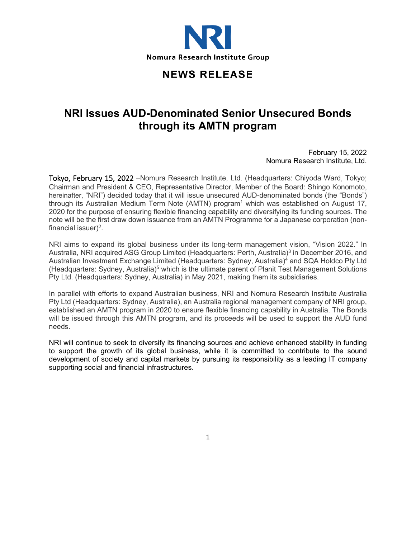

## **NEWS RELEASE**

## **NRI Issues AUD-Denominated Senior Unsecured Bonds through its AMTN program**

February 15, 2022 Nomura Research Institute, Ltd.

Tokyo, February 15, 2022 –Nomura Research Institute, Ltd. (Headquarters: Chiyoda Ward, Tokyo; Chairman and President & CEO, Representative Director, Member of the Board: Shingo Konomoto, hereinafter, "NRI") decided today that it will issue unsecured AUD-denominated bonds (the "Bonds") through its Australian Medium Term Note  $(AMTN)$  program<sup>1</sup> which was established on August 17, 2020 for the purpose of ensuring flexible financing capability and diversifying its funding sources. The note will be the first draw down issuance from an AMTN Programme for a Japanese corporation (nonfinancial issuer $)^2$ .

NRI aims to expand its global business under its long-term management vision, "Vision 2022." In Australia, NRI acquired ASG Group Limited (Headquarters: Perth, Australia)<sup>3</sup> in December 2016, and Australian Investment Exchange Limited (Headquarters: Sydney, Australia)4 and SQA Holdco Pty Ltd (Headquarters: Sydney, Australia)<sup>5</sup> which is the ultimate parent of Planit Test Management Solutions Pty Ltd. (Headquarters: Sydney, Australia) in May 2021, making them its subsidiaries.

In parallel with efforts to expand Australian business, NRI and Nomura Research Institute Australia Pty Ltd (Headquarters: Sydney, Australia), an Australia regional management company of NRI group, established an AMTN program in 2020 to ensure flexible financing capability in Australia. The Bonds will be issued through this AMTN program, and its proceeds will be used to support the AUD fund needs.

NRI will continue to seek to diversify its financing sources and achieve enhanced stability in funding to support the growth of its global business, while it is committed to contribute to the sound development of society and capital markets by pursuing its responsibility as a leading IT company supporting social and financial infrastructures.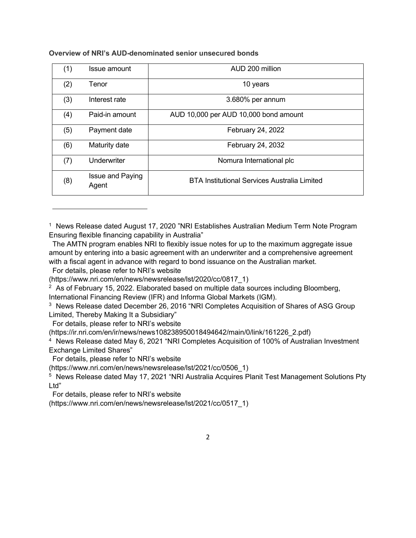| (1) | Issue amount              | AUD 200 million                                     |
|-----|---------------------------|-----------------------------------------------------|
| (2) | Tenor                     | 10 years                                            |
| (3) | Interest rate             | 3.680% per annum                                    |
| (4) | Paid-in amount            | AUD 10,000 per AUD 10,000 bond amount               |
| (5) | Payment date              | February 24, 2022                                   |
| (6) | Maturity date             | February 24, 2032                                   |
| (7) | Underwriter               | Nomura International plc                            |
| (8) | Issue and Paying<br>Agent | <b>BTA Institutional Services Australia Limited</b> |

**Overview of NRI's AUD-denominated senior unsecured bonds**

For details, please refer to NRI's website

(https://www.nri.com/en/news/newsrelease/lst/2020/cc/0817\_1)

<sup>2</sup> As of February 15, 2022. Elaborated based on multiple data sources including Bloomberg, International Financing Review (IFR) and Informa Global Markets (IGM).

<sup>3</sup> News Release dated December 26, 2016 "NRI Completes Acquisition of Shares of ASG Group Limited, Thereby Making It a Subsidiary"

For details, please refer to NRI's website

(https://ir.nri.com/en/ir/news/news108238950018494642/main/0/link/161226\_2.pdf)

<sup>4</sup> News Release dated May 6, 2021 "NRI Completes Acquisition of 100% of Australian Investment Exchange Limited Shares"

For details, please refer to NRI's website

(https://www.nri.com/en/news/newsrelease/lst/2021/cc/0506\_1)

<sup>5</sup> News Release dated May 17, 2021 "NRI Australia Acquires Planit Test Management Solutions Pty Ltd"

For details, please refer to NRI's website

(https://www.nri.com/en/news/newsrelease/lst/2021/cc/0517\_1)

<sup>&</sup>lt;sup>1</sup> News Release dated August 17, 2020 "NRI Establishes Australian Medium Term Note Program Ensuring flexible financing capability in Australia"

The AMTN program enables NRI to flexibly issue notes for up to the maximum aggregate issue amount by entering into a basic agreement with an underwriter and a comprehensive agreement with a fiscal agent in advance with regard to bond issuance on the Australian market.